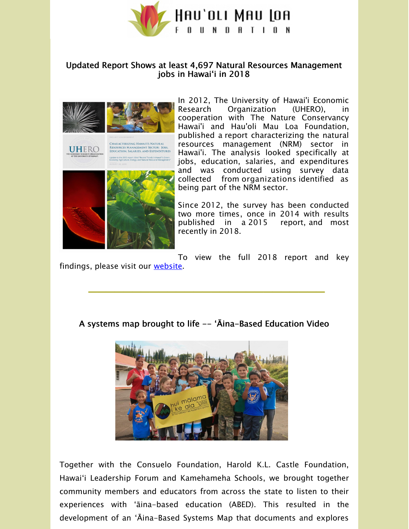

## Updated Report Shows at least 4,697 Natural Resources Management jobs in Hawaiʻi in 2018



o the 2015 report titled "Recent Trends in Hawai'i's<br>In Amiculture, Energy, and Natural Becourse Mana

In 2012, The University of Hawai'i Economic Research Organization (UHERO), cooperation with The Nature Conservancy Hawai'i and Hau'oli Mau Loa Foundation, published a report characterizing the natural resources management (NRM) sector in Hawai'i. The analysis looked specifically at jobs, education, salaries, and expenditures and was conducted using survey data collected from organizations identified as being part of the NRM sector.

Since 2012, the survey has been conducted two more times, once in 2014 with results published in a 2015 report, and most recently in 2018.

To view the full 2018 report and key findings, please visit our [website.](https://hauolimauloa.org/wp-content/uploads/2019/09/UHERO-HML-Report-2019.pdf?utm_source=21.+UHERO+%7C+ABED+Systems+Map+%7C+Summer+Internship+%28Oct.+2019%29&utm_campaign=Constant+Contact%3A+UHERO+%7C+ABED+Systems+Map+%7C+Summer+Internship+%28Oct.+2019%29+&utm_medium=email)

**\_\_\_\_\_\_\_\_\_\_\_\_\_\_\_\_\_\_\_\_\_\_\_\_\_\_\_**

## A systems map brought to life -- ʻĀina-Based Education Video



Together with the Consuelo Foundation, Harold K.L. Castle Foundation, Hawaiʻi Leadership Forum and Kamehameha Schools, we brought together community members and educators from across the state to listen to their experiences with ʻāina-based education (ABED). This resulted in the development of an ʻĀina-Based Systems Map that documents and explores